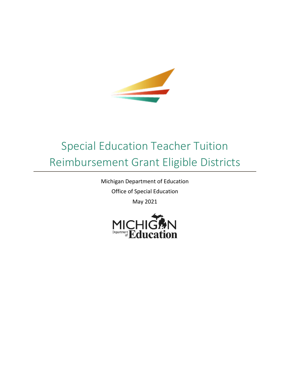

## Special Education Teacher Tuition Reimbursement Grant Eligible Districts

Michigan Department of Education

Office of Special Education

May 2021

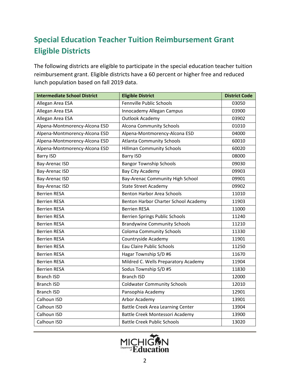## **Special Education Teacher Tuition Reimbursement Grant Eligible Districts**

The following districts are eligible to participate in the special education teacher tuition reimbursement grant. Eligible districts have a 60 percent or higher free and reduced lunch population based on fall 2019 data.

| <b>Intermediate School District</b> | <b>Eligible District</b>                 | <b>District Code</b> |
|-------------------------------------|------------------------------------------|----------------------|
| Allegan Area ESA                    | Fennville Public Schools                 | 03050                |
| Allegan Area ESA                    | Innocademy Allegan Campus                | 03900                |
| Allegan Area ESA                    | Outlook Academy                          | 03902                |
| Alpena-Montmorency-Alcona ESD       | <b>Alcona Community Schools</b>          | 01010                |
| Alpena-Montmorency-Alcona ESD       | Alpena-Montmorency-Alcona ESD            | 04000                |
| Alpena-Montmorency-Alcona ESD       | <b>Atlanta Community Schools</b>         | 60010                |
| Alpena-Montmorency-Alcona ESD       | <b>Hillman Community Schools</b>         | 60020                |
| <b>Barry ISD</b>                    | <b>Barry ISD</b>                         | 08000                |
| Bay-Arenac ISD                      | <b>Bangor Township Schools</b>           | 09030                |
| <b>Bay-Arenac ISD</b>               | Bay City Academy                         | 09903                |
| Bay-Arenac ISD                      | Bay-Arenac Community High School         | 09901                |
| <b>Bay-Arenac ISD</b>               | <b>State Street Academy</b>              | 09902                |
| <b>Berrien RESA</b>                 | <b>Benton Harbor Area Schools</b>        | 11010                |
| <b>Berrien RESA</b>                 | Benton Harbor Charter School Academy     | 11903                |
| <b>Berrien RESA</b>                 | <b>Berrien RESA</b>                      | 11000                |
| <b>Berrien RESA</b>                 | <b>Berrien Springs Public Schools</b>    | 11240                |
| <b>Berrien RESA</b>                 | <b>Brandywine Community Schools</b>      | 11210                |
| <b>Berrien RESA</b>                 | <b>Coloma Community Schools</b>          | 11330                |
| <b>Berrien RESA</b>                 | Countryside Academy                      | 11901                |
| <b>Berrien RESA</b>                 | Eau Claire Public Schools                | 11250                |
| <b>Berrien RESA</b>                 | Hagar Township S/D #6                    | 11670                |
| <b>Berrien RESA</b>                 | Mildred C. Wells Preparatory Academy     | 11904                |
| <b>Berrien RESA</b>                 | Sodus Township S/D #5                    | 11830                |
| <b>Branch ISD</b>                   | <b>Branch ISD</b>                        | 12000                |
| <b>Branch ISD</b>                   | <b>Coldwater Community Schools</b>       | 12010                |
| <b>Branch ISD</b>                   | Pansophia Academy                        | 12901                |
| Calhoun ISD                         | Arbor Academy                            | 13901                |
| Calhoun ISD                         | <b>Battle Creek Area Learning Center</b> | 13904                |
| Calhoun ISD                         | Battle Creek Montessori Academy          | 13900                |
| Calhoun ISD                         | <b>Battle Creek Public Schools</b>       | 13020                |

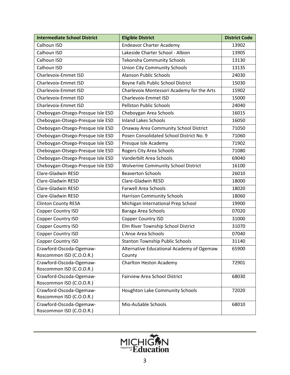| <b>Intermediate School District</b>                 | <b>Eligible District</b>                            | <b>District Code</b> |
|-----------------------------------------------------|-----------------------------------------------------|----------------------|
| Calhoun ISD                                         | <b>Endeavor Charter Academy</b>                     | 13902                |
| Calhoun ISD                                         | Lakeside Charter School - Albion                    | 13905                |
| Calhoun ISD                                         | <b>Tekonsha Community Schools</b>                   | 13130                |
| Calhoun ISD                                         | <b>Union City Community Schools</b>                 | 13135                |
| Charlevoix-Emmet ISD                                | <b>Alanson Public Schools</b>                       | 24030                |
| Charlevoix-Emmet ISD                                | Boyne Falls Public School District                  | 15030                |
| Charlevoix-Emmet ISD                                | Charlevoix Montessori Academy for the Arts          | 15902                |
| Charlevoix-Emmet ISD                                | Charlevoix-Emmet ISD                                | 15000                |
| Charlevoix-Emmet ISD                                | <b>Pellston Public Schools</b>                      | 24040                |
| Cheboygan-Otsego-Presque Isle ESD                   | Cheboygan Area Schools                              | 16015                |
| Cheboygan-Otsego-Presque Isle ESD                   | <b>Inland Lakes Schools</b>                         | 16050                |
| Cheboygan-Otsego-Presque Isle ESD                   | <b>Onaway Area Community School District</b>        | 71050                |
| Cheboygan-Otsego-Presque Isle ESD                   | Posen Consolidated School District No. 9            | 71060                |
| Cheboygan-Otsego-Presque Isle ESD                   | Presque Isle Academy                                | 71902                |
| Cheboygan-Otsego-Presque Isle ESD                   | Rogers City Area Schools                            | 71080                |
| Cheboygan-Otsego-Presque Isle ESD                   | Vanderbilt Area Schools                             | 69040                |
| Cheboygan-Otsego-Presque Isle ESD                   | <b>Wolverine Community School District</b>          | 16100                |
| Clare-Gladwin RESD                                  | <b>Beaverton Schools</b>                            | 26010                |
| Clare-Gladwin RESD                                  | Clare-Gladwin RESD                                  | 18000                |
| Clare-Gladwin RESD                                  | <b>Farwell Area Schools</b>                         | 18020                |
| Clare-Gladwin RESD                                  | <b>Harrison Community Schools</b>                   | 18060                |
| <b>Clinton County RESA</b>                          | Michigan International Prep School                  | 19900                |
| Copper Country ISD                                  | Baraga Area Schools                                 | 07020                |
| Copper Country ISD                                  | Copper Country ISD                                  | 31000                |
| Copper Country ISD                                  | Elm River Township School District                  | 31070                |
| Copper Country ISD                                  | L'Anse Area Schools                                 | 07040                |
| Copper Country ISD                                  | <b>Stanton Township Public Schools</b>              | 31140                |
| Crawford-Oscoda-Ogemaw-<br>Roscommon ISD (C.O.O.R.) | Alternative Educational Academy of Ogemaw<br>County | 65900                |
| Crawford-Oscoda-Ogemaw-<br>Roscommon ISD (C.O.O.R.) | Charlton Heston Academy                             | 72901                |
| Crawford-Oscoda-Ogemaw-<br>Roscommon ISD (C.O.O.R.) | <b>Fairview Area School District</b>                | 68030                |
| Crawford-Oscoda-Ogemaw-<br>Roscommon ISD (C.O.O.R.) | Houghton Lake Community Schools                     | 72020                |
| Crawford-Oscoda-Ogemaw-<br>Roscommon ISD (C.O.O.R.) | Mio-AuSable Schools                                 | 68010                |

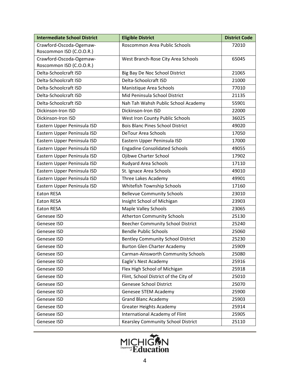| <b>Intermediate School District</b> | <b>Eligible District</b>                 | <b>District Code</b> |
|-------------------------------------|------------------------------------------|----------------------|
| Crawford-Oscoda-Ogemaw-             | Roscommon Area Public Schools            | 72010                |
| Roscommon ISD (C.O.O.R.)            |                                          |                      |
| Crawford-Oscoda-Ogemaw-             | West Branch-Rose City Area Schools       | 65045                |
| Roscommon ISD (C.O.O.R.)            |                                          |                      |
| Delta-Schoolcraft ISD               | Big Bay De Noc School District           | 21065                |
| Delta-Schoolcraft ISD               | Delta-Schoolcraft ISD                    | 21000                |
| Delta-Schoolcraft ISD               | Manistique Area Schools                  | 77010                |
| Delta-Schoolcraft ISD               | Mid Peninsula School District            | 21135                |
| Delta-Schoolcraft ISD               | Nah Tah Wahsh Public School Academy      | 55901                |
| Dickinson-Iron ISD                  | Dickinson-Iron ISD                       | 22000                |
| Dickinson-Iron ISD                  | West Iron County Public Schools          | 36025                |
| Eastern Upper Peninsula ISD         | <b>Bois Blanc Pines School District</b>  | 49020                |
| Eastern Upper Peninsula ISD         | <b>DeTour Area Schools</b>               | 17050                |
| Eastern Upper Peninsula ISD         | Eastern Upper Peninsula ISD              | 17000                |
| Eastern Upper Peninsula ISD         | <b>Engadine Consolidated Schools</b>     | 49055                |
| Eastern Upper Peninsula ISD         | Ojibwe Charter School                    | 17902                |
| Eastern Upper Peninsula ISD         | <b>Rudyard Area Schools</b>              | 17110                |
| Eastern Upper Peninsula ISD         | St. Ignace Area Schools                  | 49010                |
| Eastern Upper Peninsula ISD         | Three Lakes Academy                      | 49901                |
| Eastern Upper Peninsula ISD         | Whitefish Township Schools               | 17160                |
| <b>Eaton RESA</b>                   | <b>Bellevue Community Schools</b>        | 23010                |
| <b>Eaton RESA</b>                   | Insight School of Michigan               | 23903                |
| <b>Eaton RESA</b>                   | <b>Maple Valley Schools</b>              | 23065                |
| Genesee ISD                         | <b>Atherton Community Schools</b>        | 25130                |
| Genesee ISD                         | <b>Beecher Community School District</b> | 25240                |
| Genesee ISD                         | <b>Bendle Public Schools</b>             | 25060                |
| Genesee ISD                         | <b>Bentley Community School District</b> | 25230                |
| Genesee ISD                         | <b>Burton Glen Charter Academy</b>       | 25909                |
| Genesee ISD                         | Carman-Ainsworth Community Schools       | 25080                |
| Genesee ISD                         | Eagle's Nest Academy                     | 25916                |
| Genesee ISD                         | Flex High School of Michigan             | 25918                |
| Genesee ISD                         | Flint, School District of the City of    | 25010                |
| Genesee ISD                         | Genesee School District                  | 25070                |
| Genesee ISD                         | Genesee STEM Academy                     | 25900                |
| Genesee ISD                         | <b>Grand Blanc Academy</b>               | 25903                |
| Genesee ISD                         | <b>Greater Heights Academy</b>           | 25914                |
| Genesee ISD                         | International Academy of Flint           | 25905                |
| Genesee ISD                         | Kearsley Community School District       | 25110                |

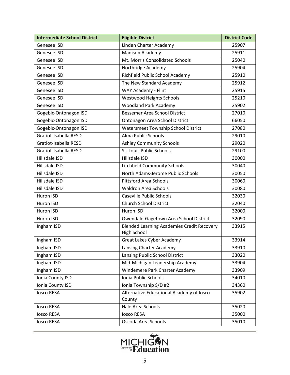| <b>Intermediate School District</b> | <b>Eligible District</b>                                                | <b>District Code</b> |
|-------------------------------------|-------------------------------------------------------------------------|----------------------|
| Genesee ISD                         | Linden Charter Academy                                                  | 25907                |
| Genesee ISD                         | Madison Academy                                                         | 25911                |
| Genesee ISD                         | Mt. Morris Consolidated Schools                                         | 25040                |
| Genesee ISD                         | Northridge Academy                                                      | 25904                |
| Genesee ISD                         | Richfield Public School Academy                                         | 25910                |
| Genesee ISD                         | The New Standard Academy                                                | 25912                |
| Genesee ISD                         | WAY Academy - Flint                                                     | 25915                |
| Genesee ISD                         | <b>Westwood Heights Schools</b>                                         | 25210                |
| Genesee ISD                         | <b>Woodland Park Academy</b>                                            | 25902                |
| Gogebic-Ontonagon ISD               | <b>Bessemer Area School District</b>                                    | 27010                |
| Gogebic-Ontonagon ISD               | Ontonagon Area School District                                          | 66050                |
| Gogebic-Ontonagon ISD               | Watersmeet Township School District                                     | 27080                |
| Gratiot-Isabella RESD               | Alma Public Schools                                                     | 29010                |
| Gratiot-Isabella RESD               | <b>Ashley Community Schools</b>                                         | 29020                |
| Gratiot-Isabella RESD               | St. Louis Public Schools                                                | 29100                |
| Hillsdale ISD                       | Hillsdale ISD                                                           | 30000                |
| Hillsdale ISD                       | <b>Litchfield Community Schools</b>                                     | 30040                |
| Hillsdale ISD                       | North Adams-Jerome Public Schools                                       | 30050                |
| Hillsdale ISD                       | <b>Pittsford Area Schools</b>                                           | 30060                |
| Hillsdale ISD                       | <b>Waldron Area Schools</b>                                             | 30080                |
| Huron ISD                           | <b>Caseville Public Schools</b>                                         | 32030                |
| Huron ISD                           | <b>Church School District</b>                                           | 32040                |
| Huron ISD                           | Huron ISD                                                               | 32000                |
| Huron ISD                           | Owendale-Gagetown Area School District                                  | 32090                |
| Ingham ISD                          | <b>Blended Learning Academies Credit Recovery</b><br><b>High School</b> | 33915                |
| Ingham ISD                          | <b>Great Lakes Cyber Academy</b>                                        | 33914                |
| Ingham ISD                          | Lansing Charter Academy                                                 | 33910                |
| Ingham ISD                          | Lansing Public School District                                          | 33020                |
| Ingham ISD                          | Mid-Michigan Leadership Academy                                         | 33904                |
| Ingham ISD                          | Windemere Park Charter Academy                                          | 33909                |
| Ionia County ISD                    | Ionia Public Schools                                                    | 34010                |
| Ionia County ISD                    | Ionia Township S/D #2                                                   | 34360                |
| <b>losco RESA</b>                   | Alternative Educational Academy of Iosco<br>County                      | 35902                |
| <b>losco RESA</b>                   | Hale Area Schools                                                       | 35020                |
| <b>losco RESA</b>                   | <b>losco RESA</b>                                                       | 35000                |
| <b>losco RESA</b>                   | Oscoda Area Schools                                                     | 35010                |

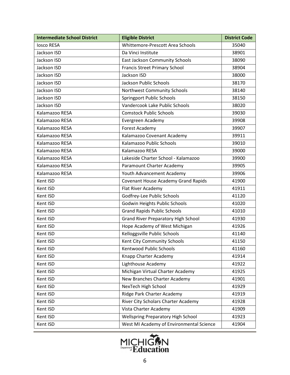| <b>Intermediate School District</b> | <b>Eligible District</b>                   | <b>District Code</b> |
|-------------------------------------|--------------------------------------------|----------------------|
| losco RESA                          | Whittemore-Prescott Area Schools           | 35040                |
| Jackson ISD                         | Da Vinci Institute                         | 38901                |
| Jackson ISD                         | <b>East Jackson Community Schools</b>      | 38090                |
| Jackson ISD                         | <b>Francis Street Primary School</b>       | 38904                |
| Jackson ISD                         | Jackson ISD                                | 38000                |
| Jackson ISD                         | Jackson Public Schools                     | 38170                |
| Jackson ISD                         | Northwest Community Schools                | 38140                |
| Jackson ISD                         | <b>Springport Public Schools</b>           | 38150                |
| Jackson ISD                         | Vandercook Lake Public Schools             | 38020                |
| Kalamazoo RESA                      | <b>Comstock Public Schools</b>             | 39030                |
| Kalamazoo RESA                      | Evergreen Academy                          | 39908                |
| Kalamazoo RESA                      | <b>Forest Academy</b>                      | 39907                |
| Kalamazoo RESA                      | Kalamazoo Covenant Academy                 | 39911                |
| Kalamazoo RESA                      | Kalamazoo Public Schools                   | 39010                |
| Kalamazoo RESA                      | Kalamazoo RESA                             | 39000                |
| Kalamazoo RESA                      | Lakeside Charter School - Kalamazoo        | 39900                |
| Kalamazoo RESA                      | Paramount Charter Academy                  | 39905                |
| Kalamazoo RESA                      | Youth Advancement Academy                  | 39906                |
| Kent ISD                            | <b>Covenant House Academy Grand Rapids</b> | 41900                |
| Kent ISD                            | Flat River Academy                         | 41911                |
| Kent ISD                            | Godfrey-Lee Public Schools                 | 41120                |
| Kent ISD                            | Godwin Heights Public Schools              | 41020                |
| Kent ISD                            | <b>Grand Rapids Public Schools</b>         | 41010                |
| Kent ISD                            | <b>Grand River Preparatory High School</b> | 41930                |
| Kent ISD                            | Hope Academy of West Michigan              | 41926                |
| Kent ISD                            | Kelloggsville Public Schools               | 41140                |
| Kent ISD                            | Kent City Community Schools                | 41150                |
| Kent ISD                            | Kentwood Public Schools                    | 41160                |
| Kent ISD                            | Knapp Charter Academy                      | 41914                |
| Kent ISD                            | Lighthouse Academy                         | 41922                |
| Kent ISD                            | Michigan Virtual Charter Academy           | 41925                |
| Kent ISD                            | New Branches Charter Academy               | 41901                |
| Kent ISD                            | NexTech High School                        | 41929                |
| Kent ISD                            | Ridge Park Charter Academy                 | 41919                |
| Kent ISD                            | River City Scholars Charter Academy        | 41928                |
| Kent ISD                            | Vista Charter Academy                      | 41909                |
| Kent ISD                            | Wellspring Preparatory High School         | 41923                |
| Kent ISD                            | West MI Academy of Environmental Science   | 41904                |

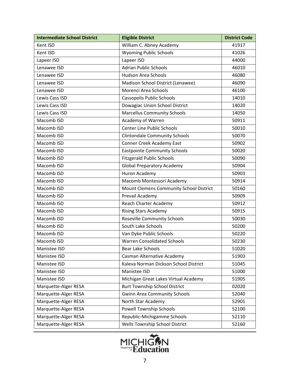| <b>Intermediate School District</b> | <b>Eligible District</b>                | <b>District Code</b> |
|-------------------------------------|-----------------------------------------|----------------------|
| Kent ISD                            | William C. Abney Academy                | 41917                |
| Kent ISD                            | <b>Wyoming Public Schools</b>           | 41026                |
| Lapeer ISD                          | Lapeer ISD                              | 44000                |
| Lenawee ISD                         | <b>Adrian Public Schools</b>            | 46010                |
| Lenawee ISD                         | <b>Hudson Area Schools</b>              | 46080                |
| Lenawee ISD                         | Madison School District (Lenawee)       | 46090                |
| Lenawee ISD                         | Morenci Area Schools                    | 46100                |
| Lewis Cass ISD                      | <b>Cassopolis Public Schools</b>        | 14010                |
| Lewis Cass ISD                      | Dowagiac Union School District          | 14020                |
| Lewis Cass ISD                      | <b>Marcellus Community Schools</b>      | 14050                |
| Macomb ISD                          | Academy of Warren                       | 50911                |
| Macomb ISD                          | Center Line Public Schools              | 50010                |
| Macomb ISD                          | <b>Clintondale Community Schools</b>    | 50070                |
| Macomb ISD                          | Conner Creek Academy East               | 50902                |
| Macomb ISD                          | <b>Eastpointe Community Schools</b>     | 50020                |
| Macomb ISD                          | <b>Fitzgerald Public Schools</b>        | 50090                |
| Macomb ISD                          | <b>Global Preparatory Academy</b>       | 50904                |
| Macomb ISD                          | Huron Academy                           | 50903                |
| Macomb ISD                          | Macomb Montessori Academy               | 50914                |
| Macomb ISD                          | Mount Clemens Community School District | 50160                |
| Macomb ISD                          | Prevail Academy                         | 50909                |
| Macomb ISD                          | Reach Charter Academy                   | 50912                |
| Macomb ISD                          | <b>Rising Stars Academy</b>             | 50915                |
| Macomb ISD                          | <b>Roseville Community Schools</b>      | 50030                |
| Macomb ISD                          | South Lake Schools                      | 50200                |
| Macomb ISD                          | Van Dyke Public Schools                 | 50220                |
| Macomb ISD                          | <b>Warren Consolidated Schools</b>      | 50230                |
| Manistee ISD                        | <b>Bear Lake Schools</b>                | 51020                |
| Manistee ISD                        | Casman Alternative Academy              | 51903                |
| Manistee ISD                        | Kaleva Norman Dickson School District   | 51045                |
| Manistee ISD                        | Manistee ISD                            | 51000                |
| Manistee ISD                        | Michigan Great Lakes Virtual Academy    | 51905                |
| Marquette-Alger RESA                | <b>Burt Township School District</b>    | 02020                |
| Marquette-Alger RESA                | <b>Gwinn Area Community Schools</b>     | 52040                |
| Marquette-Alger RESA                | North Star Academy                      | 52901                |
| Marquette-Alger RESA                | Powell Township Schools                 | 52100                |
| Marquette-Alger RESA                | Republic-Michigamme Schools             | 52110                |
| Marquette-Alger RESA                | Wells Township School District          | 52160                |

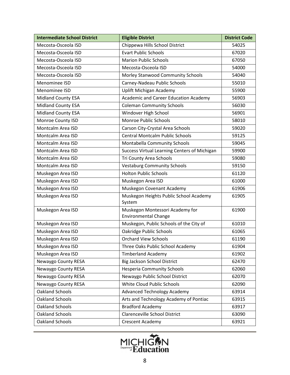| <b>Intermediate School District</b> | <b>Eligible District</b>                                       | <b>District Code</b> |
|-------------------------------------|----------------------------------------------------------------|----------------------|
| Mecosta-Osceola ISD                 | Chippewa Hills School District                                 | 54025                |
| Mecosta-Osceola ISD                 | <b>Evart Public Schools</b>                                    | 67020                |
| Mecosta-Osceola ISD                 | <b>Marion Public Schools</b>                                   | 67050                |
| Mecosta-Osceola ISD                 | Mecosta-Osceola ISD                                            | 54000                |
| Mecosta-Osceola ISD                 | Morley Stanwood Community Schools                              | 54040                |
| Menominee ISD                       | Carney-Nadeau Public Schools                                   | 55010                |
| Menominee ISD                       | <b>Uplift Michigan Academy</b>                                 | 55900                |
| <b>Midland County ESA</b>           | Academic and Career Education Academy                          | 56903                |
| <b>Midland County ESA</b>           | <b>Coleman Community Schools</b>                               | 56030                |
| <b>Midland County ESA</b>           | Windover High School                                           | 56901                |
| Monroe County ISD                   | Monroe Public Schools                                          | 58010                |
| Montcalm Area ISD                   | Carson City-Crystal Area Schools                               | 59020                |
| Montcalm Area ISD                   | <b>Central Montcalm Public Schools</b>                         | 59125                |
| Montcalm Area ISD                   | Montabella Community Schools                                   | 59045                |
| Montcalm Area ISD                   | Success Virtual Learning Centers of Michigan                   | 59900                |
| Montcalm Area ISD                   | Tri County Area Schools                                        | 59080                |
| Montcalm Area ISD                   | <b>Vestaburg Community Schools</b>                             | 59150                |
| Muskegon Area ISD                   | <b>Holton Public Schools</b>                                   | 61120                |
| Muskegon Area ISD                   | Muskegon Area ISD                                              | 61000                |
| Muskegon Area ISD                   | Muskegon Covenant Academy                                      | 61906                |
| Muskegon Area ISD                   | Muskegon Heights Public School Academy<br>System               | 61905                |
| Muskegon Area ISD                   | Muskegon Montessori Academy for<br><b>Environmental Change</b> | 61900                |
| Muskegon Area ISD                   | Muskegon, Public Schools of the City of                        | 61010                |
| Muskegon Area ISD                   | Oakridge Public Schools                                        | 61065                |
| Muskegon Area ISD                   | <b>Orchard View Schools</b>                                    | 61190                |
| Muskegon Area ISD                   | Three Oaks Public School Academy                               | 61904                |
| Muskegon Area ISD                   | <b>Timberland Academy</b>                                      | 61902                |
| Newaygo County RESA                 | <b>Big Jackson School District</b>                             | 62470                |
| Newaygo County RESA                 | <b>Hesperia Community Schools</b>                              | 62060                |
| Newaygo County RESA                 | Newaygo Public School District                                 | 62070                |
| Newaygo County RESA                 | White Cloud Public Schools                                     | 62090                |
| <b>Oakland Schools</b>              | <b>Advanced Technology Academy</b>                             | 63914                |
| Oakland Schools                     | Arts and Technology Academy of Pontiac                         | 63915                |
| Oakland Schools                     | <b>Bradford Academy</b>                                        | 63917                |
| <b>Oakland Schools</b>              | <b>Clarenceville School District</b>                           | 63090                |
| Oakland Schools                     | Crescent Academy                                               | 63921                |

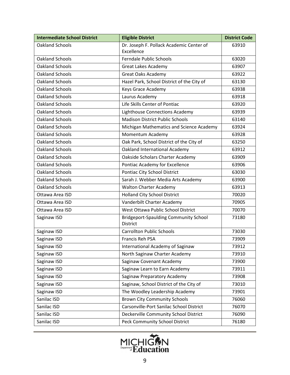| <b>Intermediate School District</b> | <b>Eligible District</b>                                 | <b>District Code</b> |
|-------------------------------------|----------------------------------------------------------|----------------------|
| <b>Oakland Schools</b>              | Dr. Joseph F. Pollack Academic Center of                 | 63910                |
|                                     | Excellence                                               |                      |
| <b>Oakland Schools</b>              | <b>Ferndale Public Schools</b>                           | 63020                |
| <b>Oakland Schools</b>              | Great Lakes Academy                                      | 63907                |
| Oakland Schools                     | <b>Great Oaks Academy</b>                                | 63922                |
| <b>Oakland Schools</b>              | Hazel Park, School District of the City of               | 63130                |
| <b>Oakland Schools</b>              | Keys Grace Academy                                       | 63938                |
| <b>Oakland Schools</b>              | Laurus Academy                                           | 63918                |
| <b>Oakland Schools</b>              | Life Skills Center of Pontiac                            | 63920                |
| <b>Oakland Schools</b>              | <b>Lighthouse Connections Academy</b>                    | 63939                |
| <b>Oakland Schools</b>              | <b>Madison District Public Schools</b>                   | 63140                |
| <b>Oakland Schools</b>              | Michigan Mathematics and Science Academy                 | 63924                |
| <b>Oakland Schools</b>              | Momentum Academy                                         | 63928                |
| <b>Oakland Schools</b>              | Oak Park, School District of the City of                 | 63250                |
| <b>Oakland Schools</b>              | Oakland International Academy                            | 63912                |
| <b>Oakland Schools</b>              | Oakside Scholars Charter Academy                         | 63909                |
| <b>Oakland Schools</b>              | Pontiac Academy for Excellence                           | 63906                |
| <b>Oakland Schools</b>              | Pontiac City School District                             | 63030                |
| <b>Oakland Schools</b>              | Sarah J. Webber Media Arts Academy                       | 63900                |
| <b>Oakland Schools</b>              | <b>Walton Charter Academy</b>                            | 63913                |
| Ottawa Area ISD                     | <b>Holland City School District</b>                      | 70020                |
| Ottawa Area ISD                     | Vanderbilt Charter Academy                               | 70905                |
| Ottawa Area ISD                     | West Ottawa Public School District                       | 70070                |
| Saginaw ISD                         | <b>Bridgeport-Spaulding Community School</b><br>District | 73180                |
| Saginaw ISD                         | <b>Carrollton Public Schools</b>                         | 73030                |
| Saginaw ISD                         | Francis Reh PSA                                          | 73909                |
| Saginaw ISD                         | International Academy of Saginaw                         | 73912                |
| Saginaw ISD                         | North Saginaw Charter Academy                            | 73910                |
| Saginaw ISD                         | Saginaw Covenant Academy                                 | 73900                |
| Saginaw ISD                         | Saginaw Learn to Earn Academy                            | 73911                |
| Saginaw ISD                         | Saginaw Preparatory Academy                              | 73908                |
| Saginaw ISD                         | Saginaw, School District of the City of                  | 73010                |
| Saginaw ISD                         | The Woodley Leadership Academy                           | 73901                |
| Sanilac ISD                         | <b>Brown City Community Schools</b>                      | 76060                |
| Sanilac ISD                         | Carsonville-Port Sanilac School District                 | 76070                |
| Sanilac ISD                         | Deckerville Community School District                    | 76090                |
| Sanilac ISD                         | Peck Community School District                           | 76180                |

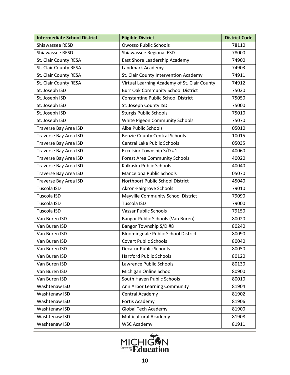| <b>Intermediate School District</b> | <b>Eligible District</b>                     | <b>District Code</b> |
|-------------------------------------|----------------------------------------------|----------------------|
| Shiawassee RESD                     | <b>Owosso Public Schools</b>                 | 78110                |
| Shiawassee RESD                     | Shiawassee Regional ESD                      | 78000                |
| St. Clair County RESA               | East Shore Leadership Academy                | 74900                |
| St. Clair County RESA               | Landmark Academy                             | 74903                |
| St. Clair County RESA               | St. Clair County Intervention Academy        | 74911                |
| St. Clair County RESA               | Virtual Learning Academy of St. Clair County | 74912                |
| St. Joseph ISD                      | <b>Burr Oak Community School District</b>    | 75020                |
| St. Joseph ISD                      | <b>Constantine Public School District</b>    | 75050                |
| St. Joseph ISD                      | St. Joseph County ISD                        | 75000                |
| St. Joseph ISD                      | <b>Sturgis Public Schools</b>                | 75010                |
| St. Joseph ISD                      | White Pigeon Community Schools               | 75070                |
| Traverse Bay Area ISD               | Alba Public Schools                          | 05010                |
| Traverse Bay Area ISD               | <b>Benzie County Central Schools</b>         | 10015                |
| Traverse Bay Area ISD               | <b>Central Lake Public Schools</b>           | 05035                |
| Traverse Bay Area ISD               | Excelsior Township S/D #1                    | 40060                |
| Traverse Bay Area ISD               | <b>Forest Area Community Schools</b>         | 40020                |
| Traverse Bay Area ISD               | Kalkaska Public Schools                      | 40040                |
| Traverse Bay Area ISD               | Mancelona Public Schools                     | 05070                |
| Traverse Bay Area ISD               | Northport Public School District             | 45040                |
| Tuscola ISD                         | Akron-Fairgrove Schools                      | 79010                |
| Tuscola ISD                         | Mayville Community School District           | 79090                |
| Tuscola ISD                         | Tuscola ISD                                  | 79000                |
| Tuscola ISD                         | <b>Vassar Public Schools</b>                 | 79150                |
| Van Buren ISD                       | Bangor Public Schools (Van Buren)            | 80020                |
| Van Buren ISD                       | Bangor Township S/D #8                       | 80240                |
| Van Buren ISD                       | Bloomingdale Public School District          | 80090                |
| Van Buren ISD                       | <b>Covert Public Schools</b>                 | 80040                |
| Van Buren ISD                       | <b>Decatur Public Schools</b>                | 80050                |
| Van Buren ISD                       | <b>Hartford Public Schools</b>               | 80120                |
| Van Buren ISD                       | Lawrence Public Schools                      | 80130                |
| Van Buren ISD                       | Michigan Online School                       | 80900                |
| Van Buren ISD                       | South Haven Public Schools                   | 80010                |
| Washtenaw ISD                       | Ann Arbor Learning Community                 | 81904                |
| Washtenaw ISD                       | Central Academy                              | 81902                |
| Washtenaw ISD                       | Fortis Academy                               | 81906                |
| Washtenaw ISD                       | <b>Global Tech Academy</b>                   | 81900                |
| Washtenaw ISD                       | <b>Multicultural Academy</b>                 | 81908                |
| Washtenaw ISD                       | <b>WSC Academy</b>                           | 81911                |

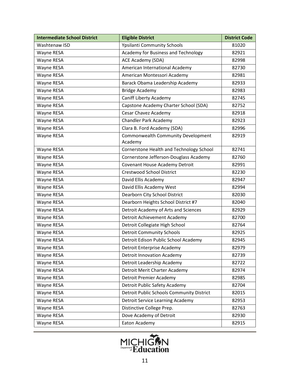| <b>Intermediate School District</b> | <b>Eligible District</b>                      | <b>District Code</b> |
|-------------------------------------|-----------------------------------------------|----------------------|
| Washtenaw ISD                       | <b>Ypsilanti Community Schools</b>            | 81020                |
| Wayne RESA                          | Academy for Business and Technology           | 82921                |
| Wayne RESA                          | ACE Academy (SDA)                             | 82998                |
| Wayne RESA                          | American International Academy                | 82730                |
| Wayne RESA                          | American Montessori Academy                   | 82981                |
| Wayne RESA                          | Barack Obama Leadership Academy               | 82933                |
| Wayne RESA                          | <b>Bridge Academy</b>                         | 82983                |
| Wayne RESA                          | Caniff Liberty Academy                        | 82745                |
| Wayne RESA                          | Capstone Academy Charter School (SDA)         | 82752                |
| Wayne RESA                          | Cesar Chavez Academy                          | 82918                |
| Wayne RESA                          | <b>Chandler Park Academy</b>                  | 82923                |
| Wayne RESA                          | Clara B. Ford Academy (SDA)                   | 82996                |
| Wayne RESA                          | Commonwealth Community Development<br>Academy | 82919                |
| Wayne RESA                          | Cornerstone Health and Technology School      | 82741                |
| Wayne RESA                          | Cornerstone Jefferson-Douglass Academy        | 82760                |
| Wayne RESA                          | Covenant House Academy Detroit                | 82991                |
| Wayne RESA                          | <b>Crestwood School District</b>              | 82230                |
| Wayne RESA                          | David Ellis Academy                           | 82947                |
| Wayne RESA                          | David Ellis Academy West                      | 82994                |
| Wayne RESA                          | Dearborn City School District                 | 82030                |
| Wayne RESA                          | Dearborn Heights School District #7           | 82040                |
| Wayne RESA                          | Detroit Academy of Arts and Sciences          | 82929                |
| Wayne RESA                          | Detroit Achievement Academy                   | 82700                |
| Wayne RESA                          | Detroit Collegiate High School                | 82764                |
| Wayne RESA                          | <b>Detroit Community Schools</b>              | 82925                |
| Wayne RESA                          | Detroit Edison Public School Academy          | 82945                |
| Wayne RESA                          | Detroit Enterprise Academy                    | 82979                |
| Wayne RESA                          | <b>Detroit Innovation Academy</b>             | 82739                |
| Wayne RESA                          | Detroit Leadership Academy                    | 82722                |
| Wayne RESA                          | Detroit Merit Charter Academy                 | 82974                |
| Wayne RESA                          | <b>Detroit Premier Academy</b>                | 82985                |
| Wayne RESA                          | Detroit Public Safety Academy                 | 82704                |
| Wayne RESA                          | Detroit Public Schools Community District     | 82015                |
| Wayne RESA                          | <b>Detroit Service Learning Academy</b>       | 82953                |
| Wayne RESA                          | Distinctive College Prep.                     | 82763                |
| Wayne RESA                          | Dove Academy of Detroit                       | 82930                |
| Wayne RESA                          | Eaton Academy                                 | 82915                |

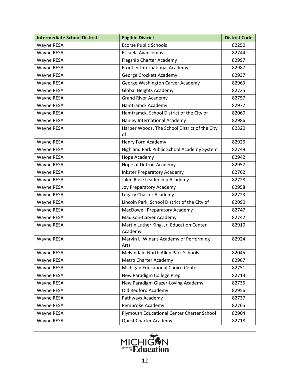| <b>Intermediate School District</b> | <b>Eligible District</b>                            | <b>District Code</b> |
|-------------------------------------|-----------------------------------------------------|----------------------|
| Wayne RESA                          | <b>Ecorse Public Schools</b>                        | 82250                |
| Wayne RESA                          | Escuela Avancemos                                   | 82744                |
| Wayne RESA                          | Flagship Charter Academy                            | 82997                |
| Wayne RESA                          | Frontier International Academy                      | 82987                |
| Wayne RESA                          | George Crockett Academy                             | 82937                |
| Wayne RESA                          | George Washington Carver Academy                    | 82963                |
| Wayne RESA                          | <b>Global Heights Academy</b>                       | 82725                |
| Wayne RESA                          | <b>Grand River Academy</b>                          | 82757                |
| Wayne RESA                          | Hamtramck Academy                                   | 82977                |
| Wayne RESA                          | Hamtramck, School District of the City of           | 82060                |
| Wayne RESA                          | Hanley International Academy                        | 82986                |
| Wayne RESA                          | Harper Woods, The School District of the City<br>of | 82320                |
| Wayne RESA                          | Henry Ford Academy                                  | 82926                |
| Wayne RESA                          | Highland Park Public School Academy System          | 82749                |
| Wayne RESA                          | Hope Academy                                        | 82942                |
| Wayne RESA                          | Hope of Detroit Academy                             | 82957                |
| Wayne RESA                          | <b>Inkster Preparatory Academy</b>                  | 82762                |
| Wayne RESA                          | Jalen Rose Leadership Academy                       | 82728                |
| Wayne RESA                          | Joy Preparatory Academy                             | 82958                |
| Wayne RESA                          | Legacy Charter Academy                              | 82723                |
| Wayne RESA                          | Lincoln Park, School District of the City of        | 82090                |
| Wayne RESA                          | MacDowell Preparatory Academy                       | 82747                |
| Wayne RESA                          | Madison-Carver Academy                              | 82742                |
| Wayne RESA                          | Martin Luther King, Jr. Education Center<br>Academy | 82910                |
| Wayne RESA                          | Marvin L. Winans Academy of Performing<br>Arts      | 82924                |
| Wayne RESA                          | Melvindale-North Allen Park Schools                 | 82045                |
| Wayne RESA                          | Metro Charter Academy                               | 82967                |
| Wayne RESA                          | Michigan Educational Choice Center                  | 82751                |
| Wayne RESA                          | New Paradigm College Prep                           | 82713                |
| Wayne RESA                          | New Paradigm Glazer-Loving Academy                  | 82735                |
| Wayne RESA                          | Old Redford Academy                                 | 82956                |
| Wayne RESA                          | Pathways Academy                                    | 82737                |
| Wayne RESA                          | Pembroke Academy                                    | 82765                |
| Wayne RESA                          | Plymouth Educational Center Charter School          | 82904                |
| Wayne RESA                          | Quest Charter Academy                               | 82718                |

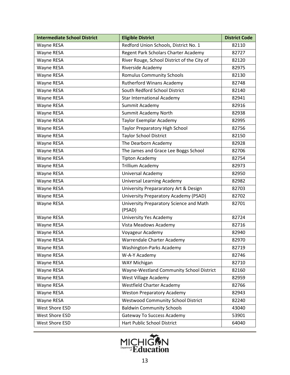| <b>Intermediate School District</b> | <b>Eligible District</b>                          | <b>District Code</b> |
|-------------------------------------|---------------------------------------------------|----------------------|
| Wayne RESA                          | Redford Union Schools, District No. 1             | 82110                |
| Wayne RESA                          | Regent Park Scholars Charter Academy              | 82727                |
| Wayne RESA                          | River Rouge, School District of the City of       | 82120                |
| Wayne RESA                          | Riverside Academy                                 | 82975                |
| Wayne RESA                          | <b>Romulus Community Schools</b>                  | 82130                |
| Wayne RESA                          | <b>Rutherford Winans Academy</b>                  | 82748                |
| Wayne RESA                          | South Redford School District                     | 82140                |
| Wayne RESA                          | <b>Star International Academy</b>                 | 82941                |
| Wayne RESA                          | Summit Academy                                    | 82916                |
| Wayne RESA                          | Summit Academy North                              | 82938                |
| Wayne RESA                          | Taylor Exemplar Academy                           | 82995                |
| Wayne RESA                          | <b>Taylor Preparatory High School</b>             | 82756                |
| Wayne RESA                          | <b>Taylor School District</b>                     | 82150                |
| Wayne RESA                          | The Dearborn Academy                              | 82928                |
| Wayne RESA                          | The James and Grace Lee Boggs School              | 82706                |
| Wayne RESA                          | <b>Tipton Academy</b>                             | 82754                |
| Wayne RESA                          | <b>Trillium Academy</b>                           | 82973                |
| Wayne RESA                          | Universal Academy                                 | 82950                |
| Wayne RESA                          | <b>Universal Learning Academy</b>                 | 82982                |
| Wayne RESA                          | University Prepararatory Art & Design             | 82703                |
| Wayne RESA                          | University Preparatory Academy (PSAD)             | 82702                |
| Wayne RESA                          | University Preparatory Science and Math<br>(PSAD) | 82701                |
| Wayne RESA                          | University Yes Academy                            | 82724                |
| Wayne RESA                          | Vista Meadows Academy                             | 82716                |
| Wayne RESA                          | Voyageur Academy                                  | 82940                |
| Wayne RESA                          | Warrendale Charter Academy                        | 82970                |
| Wayne RESA                          | Washington-Parks Academy                          | 82719                |
| Wayne RESA                          | W-A-Y Academy                                     | 82746                |
| Wayne RESA                          | WAY Michigan                                      | 82710                |
| Wayne RESA                          | Wayne-Westland Community School District          | 82160                |
| Wayne RESA                          | West Village Academy                              | 82959                |
| Wayne RESA                          | <b>Westfield Charter Academy</b>                  | 82766                |
| Wayne RESA                          | <b>Weston Preparatory Academy</b>                 | 82943                |
| Wayne RESA                          | <b>Westwood Community School District</b>         | 82240                |
| West Shore ESD                      | <b>Baldwin Community Schools</b>                  | 43040                |
| West Shore ESD                      | <b>Gateway To Success Academy</b>                 | 53901                |
| West Shore ESD                      | Hart Public School District                       | 64040                |